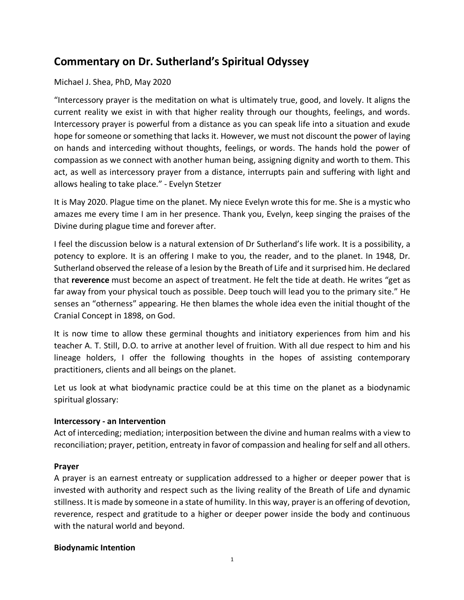# **Commentary on Dr. Sutherland's Spiritual Odyssey**

#### Michael J. Shea, PhD, May 2020

"Intercessory prayer is the meditation on what is ultimately true, good, and lovely. It aligns the current reality we exist in with that higher reality through our thoughts, feelings, and words. Intercessory prayer is powerful from a distance as you can speak life into a situation and exude hope for someone or something that lacks it. However, we must not discount the power of laying on hands and interceding without thoughts, feelings, or words. The hands hold the power of compassion as we connect with another human being, assigning dignity and worth to them. This act, as well as intercessory prayer from a distance, interrupts pain and suffering with light and allows healing to take place." - Evelyn Stetzer

It is May 2020. Plague time on the planet. My niece Evelyn wrote this for me. She is a mystic who amazes me every time I am in her presence. Thank you, Evelyn, keep singing the praises of the Divine during plague time and forever after.

I feel the discussion below is a natural extension of Dr Sutherland's life work. It is a possibility, a potency to explore. It is an offering I make to you, the reader, and to the planet. In 1948, Dr. Sutherland observed the release of a lesion by the Breath of Life and it surprised him. He declared that **reverence** must become an aspect of treatment. He felt the tide at death. He writes "get as far away from your physical touch as possible. Deep touch will lead you to the primary site." He senses an "otherness" appearing. He then blames the whole idea even the initial thought of the Cranial Concept in 1898, on God.

It is now time to allow these germinal thoughts and initiatory experiences from him and his teacher A. T. Still, D.O. to arrive at another level of fruition. With all due respect to him and his lineage holders, I offer the following thoughts in the hopes of assisting contemporary practitioners, clients and all beings on the planet.

Let us look at what biodynamic practice could be at this time on the planet as a biodynamic spiritual glossary:

#### **Intercessory - an Intervention**

Act of interceding; mediation; interposition between the divine and human realms with a view to reconciliation; prayer, petition, entreaty in favor of compassion and healing for self and all others.

#### **Prayer**

A prayer is an earnest entreaty or supplication addressed to a higher or deeper power that is invested with authority and respect such as the living reality of the Breath of Life and dynamic stillness. It is made by someone in a state of humility. In this way, prayer is an offering of devotion, reverence, respect and gratitude to a higher or deeper power inside the body and continuous with the natural world and beyond.

#### **Biodynamic Intention**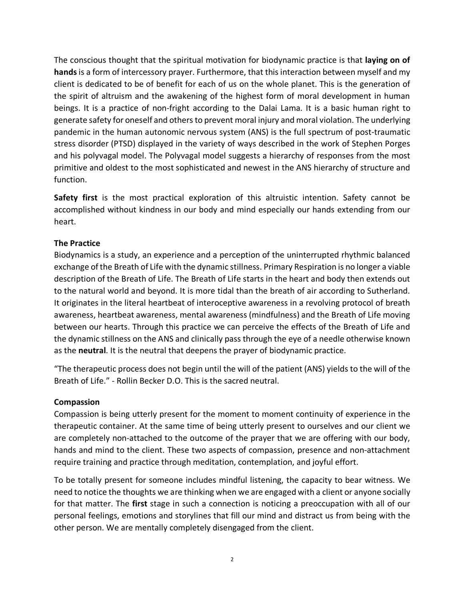The conscious thought that the spiritual motivation for biodynamic practice is that **laying on of hands**is a form of intercessory prayer. Furthermore, that this interaction between myself and my client is dedicated to be of benefit for each of us on the whole planet. This is the generation of the spirit of altruism and the awakening of the highest form of moral development in human beings. It is a practice of non-fright according to the Dalai Lama. It is a basic human right to generate safety for oneself and others to prevent moral injury and moral violation. The underlying pandemic in the human autonomic nervous system (ANS) is the full spectrum of post-traumatic stress disorder (PTSD) displayed in the variety of ways described in the work of Stephen Porges and his polyvagal model. The Polyvagal model suggests a hierarchy of responses from the most primitive and oldest to the most sophisticated and newest in the ANS hierarchy of structure and function.

**Safety first** is the most practical exploration of this altruistic intention. Safety cannot be accomplished without kindness in our body and mind especially our hands extending from our heart.

## **The Practice**

Biodynamics is a study, an experience and a perception of the uninterrupted rhythmic balanced exchange of the Breath of Life with the dynamic stillness. Primary Respiration is no longer a viable description of the Breath of Life. The Breath of Life starts in the heart and body then extends out to the natural world and beyond. It is more tidal than the breath of air according to Sutherland. It originates in the literal heartbeat of interoceptive awareness in a revolving protocol of breath awareness, heartbeat awareness, mental awareness (mindfulness) and the Breath of Life moving between our hearts. Through this practice we can perceive the effects of the Breath of Life and the dynamic stillness on the ANS and clinically pass through the eye of a needle otherwise known as the **neutral**. It is the neutral that deepens the prayer of biodynamic practice.

"The therapeutic process does not begin until the will of the patient (ANS) yields to the will of the Breath of Life." - Rollin Becker D.O. This is the sacred neutral.

## **Compassion**

Compassion is being utterly present for the moment to moment continuity of experience in the therapeutic container. At the same time of being utterly present to ourselves and our client we are completely non-attached to the outcome of the prayer that we are offering with our body, hands and mind to the client. These two aspects of compassion, presence and non-attachment require training and practice through meditation, contemplation, and joyful effort.

To be totally present for someone includes mindful listening, the capacity to bear witness. We need to notice the thoughts we are thinking when we are engaged with a client or anyone socially for that matter. The **first** stage in such a connection is noticing a preoccupation with all of our personal feelings, emotions and storylines that fill our mind and distract us from being with the other person. We are mentally completely disengaged from the client.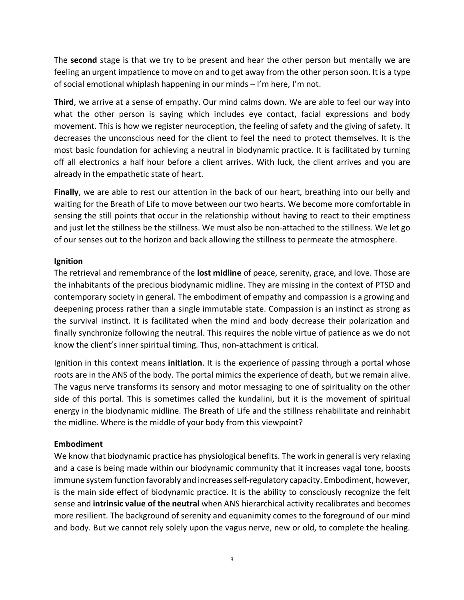The **second** stage is that we try to be present and hear the other person but mentally we are feeling an urgent impatience to move on and to get away from the other person soon. It is a type of social emotional whiplash happening in our minds – I'm here, I'm not.

**Third**, we arrive at a sense of empathy. Our mind calms down. We are able to feel our way into what the other person is saying which includes eye contact, facial expressions and body movement. This is how we register neuroception, the feeling of safety and the giving of safety. It decreases the unconscious need for the client to feel the need to protect themselves. It is the most basic foundation for achieving a neutral in biodynamic practice. It is facilitated by turning off all electronics a half hour before a client arrives. With luck, the client arrives and you are already in the empathetic state of heart.

**Finally**, we are able to rest our attention in the back of our heart, breathing into our belly and waiting for the Breath of Life to move between our two hearts. We become more comfortable in sensing the still points that occur in the relationship without having to react to their emptiness and just let the stillness be the stillness. We must also be non-attached to the stillness. We let go of our senses out to the horizon and back allowing the stillness to permeate the atmosphere.

## **Ignition**

The retrieval and remembrance of the **lost midline** of peace, serenity, grace, and love. Those are the inhabitants of the precious biodynamic midline. They are missing in the context of PTSD and contemporary society in general. The embodiment of empathy and compassion is a growing and deepening process rather than a single immutable state. Compassion is an instinct as strong as the survival instinct. It is facilitated when the mind and body decrease their polarization and finally synchronize following the neutral. This requires the noble virtue of patience as we do not know the client's inner spiritual timing. Thus, non-attachment is critical.

Ignition in this context means **initiation**. It is the experience of passing through a portal whose roots are in the ANS of the body. The portal mimics the experience of death, but we remain alive. The vagus nerve transforms its sensory and motor messaging to one of spirituality on the other side of this portal. This is sometimes called the kundalini, but it is the movement of spiritual energy in the biodynamic midline. The Breath of Life and the stillness rehabilitate and reinhabit the midline. Where is the middle of your body from this viewpoint?

## **Embodiment**

We know that biodynamic practice has physiological benefits. The work in general is very relaxing and a case is being made within our biodynamic community that it increases vagal tone, boosts immune system function favorably and increases self-regulatory capacity. Embodiment, however, is the main side effect of biodynamic practice. It is the ability to consciously recognize the felt sense and **intrinsic value of the neutral** when ANS hierarchical activity recalibrates and becomes more resilient. The background of serenity and equanimity comes to the foreground of our mind and body. But we cannot rely solely upon the vagus nerve, new or old, to complete the healing.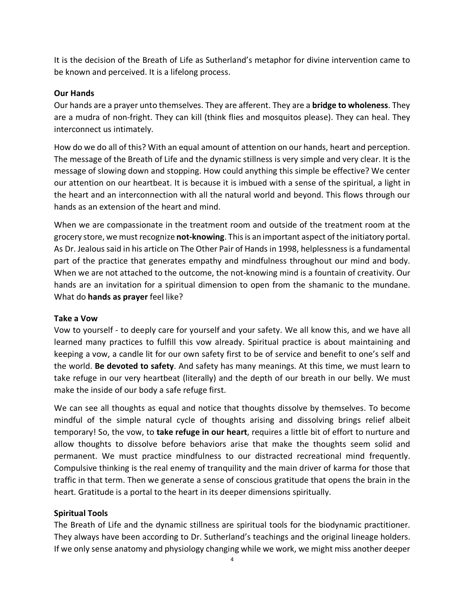It is the decision of the Breath of Life as Sutherland's metaphor for divine intervention came to be known and perceived. It is a lifelong process.

### **Our Hands**

Our hands are a prayer unto themselves. They are afferent. They are a **bridge to wholeness**. They are a mudra of non-fright. They can kill (think flies and mosquitos please). They can heal. They interconnect us intimately.

How do we do all of this? With an equal amount of attention on our hands, heart and perception. The message of the Breath of Life and the dynamic stillness is very simple and very clear. It is the message of slowing down and stopping. How could anything this simple be effective? We center our attention on our heartbeat. It is because it is imbued with a sense of the spiritual, a light in the heart and an interconnection with all the natural world and beyond. This flows through our hands as an extension of the heart and mind.

When we are compassionate in the treatment room and outside of the treatment room at the grocery store, we must recognize **not-knowing**. This is an important aspect of the initiatory portal. As Dr. Jealous said in his article on The Other Pair of Hands in 1998, helplessness is a fundamental part of the practice that generates empathy and mindfulness throughout our mind and body. When we are not attached to the outcome, the not-knowing mind is a fountain of creativity. Our hands are an invitation for a spiritual dimension to open from the shamanic to the mundane. What do **hands as prayer** feel like?

#### **Take a Vow**

Vow to yourself - to deeply care for yourself and your safety. We all know this, and we have all learned many practices to fulfill this vow already. Spiritual practice is about maintaining and keeping a vow, a candle lit for our own safety first to be of service and benefit to one's self and the world. **Be devoted to safety**. And safety has many meanings. At this time, we must learn to take refuge in our very heartbeat (literally) and the depth of our breath in our belly. We must make the inside of our body a safe refuge first.

We can see all thoughts as equal and notice that thoughts dissolve by themselves. To become mindful of the simple natural cycle of thoughts arising and dissolving brings relief albeit temporary! So, the vow, to **take refuge in our heart**, requires a little bit of effort to nurture and allow thoughts to dissolve before behaviors arise that make the thoughts seem solid and permanent. We must practice mindfulness to our distracted recreational mind frequently. Compulsive thinking is the real enemy of tranquility and the main driver of karma for those that traffic in that term. Then we generate a sense of conscious gratitude that opens the brain in the heart. Gratitude is a portal to the heart in its deeper dimensions spiritually.

## **Spiritual Tools**

The Breath of Life and the dynamic stillness are spiritual tools for the biodynamic practitioner. They always have been according to Dr. Sutherland's teachings and the original lineage holders. If we only sense anatomy and physiology changing while we work, we might miss another deeper